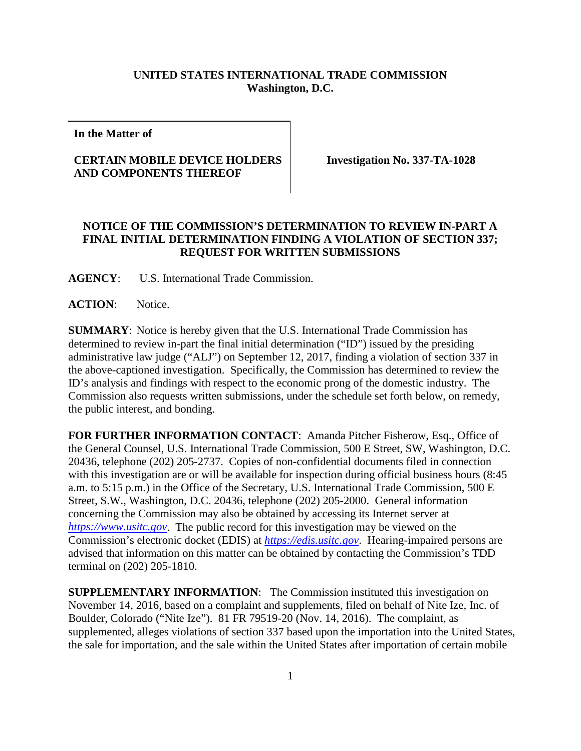## **UNITED STATES INTERNATIONAL TRADE COMMISSION Washington, D.C.**

**In the Matter of**

## **CERTAIN MOBILE DEVICE HOLDERS AND COMPONENTS THEREOF**

**Investigation No. 337-TA-1028**

## **NOTICE OF THE COMMISSION'S DETERMINATION TO REVIEW IN-PART A FINAL INITIAL DETERMINATION FINDING A VIOLATION OF SECTION 337; REQUEST FOR WRITTEN SUBMISSIONS**

**AGENCY**: U.S. International Trade Commission.

**ACTION**: Notice.

**SUMMARY**: Notice is hereby given that the U.S. International Trade Commission has determined to review in-part the final initial determination ("ID") issued by the presiding administrative law judge ("ALJ") on September 12, 2017, finding a violation of section 337 in the above-captioned investigation. Specifically, the Commission has determined to review the ID's analysis and findings with respect to the economic prong of the domestic industry. The Commission also requests written submissions, under the schedule set forth below, on remedy, the public interest, and bonding.

**FOR FURTHER INFORMATION CONTACT**: Amanda Pitcher Fisherow, Esq., Office of the General Counsel, U.S. International Trade Commission, 500 E Street, SW, Washington, D.C. 20436, telephone (202) 205-2737. Copies of non-confidential documents filed in connection with this investigation are or will be available for inspection during official business hours (8:45 a.m. to 5:15 p.m.) in the Office of the Secretary, U.S. International Trade Commission, 500 E Street, S.W., Washington, D.C. 20436, telephone (202) 205-2000. General information concerning the Commission may also be obtained by accessing its Internet server at *[https://www.usitc.gov](https://www.usitc.gov/)*. The public record for this investigation may be viewed on the Commission's electronic docket (EDIS) at *[https://edis.usitc.gov](https://edis.usitc.gov/)*. Hearing-impaired persons are advised that information on this matter can be obtained by contacting the Commission's TDD terminal on (202) 205-1810.

**SUPPLEMENTARY INFORMATION**: The Commission instituted this investigation on November 14, 2016, based on a complaint and supplements, filed on behalf of Nite Ize, Inc. of Boulder, Colorado ("Nite Ize"). 81 FR 79519-20 (Nov. 14, 2016). The complaint, as supplemented, alleges violations of section 337 based upon the importation into the United States, the sale for importation, and the sale within the United States after importation of certain mobile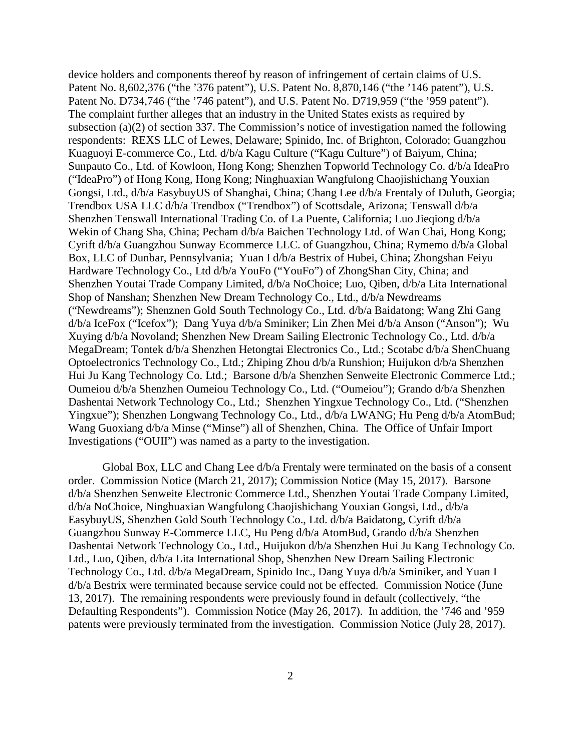device holders and components thereof by reason of infringement of certain claims of U.S. Patent No. 8,602,376 ("the '376 patent"), U.S. Patent No. 8,870,146 ("the '146 patent"), U.S. Patent No. D734,746 ("the '746 patent"), and U.S. Patent No. D719,959 ("the '959 patent"). The complaint further alleges that an industry in the United States exists as required by subsection (a)(2) of section 337. The Commission's notice of investigation named the following respondents: REXS LLC of Lewes, Delaware; Spinido, Inc. of Brighton, Colorado; Guangzhou Kuaguoyi E-commerce Co., Ltd. d/b/a Kagu Culture ("Kagu Culture") of Baiyum, China; Sunpauto Co., Ltd. of Kowloon, Hong Kong; Shenzhen Topworld Technology Co. d/b/a IdeaPro ("IdeaPro") of Hong Kong, Hong Kong; Ninghuaxian Wangfulong Chaojishichang Youxian Gongsi, Ltd., d/b/a EasybuyUS of Shanghai, China; Chang Lee d/b/a Frentaly of Duluth, Georgia; Trendbox USA LLC d/b/a Trendbox ("Trendbox") of Scottsdale, Arizona; Tenswall d/b/a Shenzhen Tenswall International Trading Co. of La Puente, California; Luo Jieqiong d/b/a Wekin of Chang Sha, China; Pecham d/b/a Baichen Technology Ltd. of Wan Chai, Hong Kong; Cyrift d/b/a Guangzhou Sunway Ecommerce LLC. of Guangzhou, China; Rymemo d/b/a Global Box, LLC of Dunbar, Pennsylvania; Yuan I d/b/a Bestrix of Hubei, China; Zhongshan Feiyu Hardware Technology Co., Ltd d/b/a YouFo ("YouFo") of ZhongShan City, China; and Shenzhen Youtai Trade Company Limited, d/b/a NoChoice; Luo, Qiben, d/b/a Lita International Shop of Nanshan; Shenzhen New Dream Technology Co., Ltd., d/b/a Newdreams ("Newdreams"); Shenznen Gold South Technology Co., Ltd. d/b/a Baidatong; Wang Zhi Gang d/b/a IceFox ("Icefox"); Dang Yuya d/b/a Sminiker; Lin Zhen Mei d/b/a Anson ("Anson"); Wu Xuying d/b/a Novoland; Shenzhen New Dream Sailing Electronic Technology Co., Ltd. d/b/a MegaDream; Tontek d/b/a Shenzhen Hetongtai Electronics Co., Ltd.; Scotabc d/b/a ShenChuang Optoelectronics Technology Co., Ltd.; Zhiping Zhou d/b/a Runshion; Huijukon d/b/a Shenzhen Hui Ju Kang Technology Co. Ltd.; Barsone d/b/a Shenzhen Senweite Electronic Commerce Ltd.; Oumeiou d/b/a Shenzhen Oumeiou Technology Co., Ltd. ("Oumeiou"); Grando d/b/a Shenzhen Dashentai Network Technology Co., Ltd.; Shenzhen Yingxue Technology Co., Ltd. ("Shenzhen Yingxue"); Shenzhen Longwang Technology Co., Ltd., d/b/a LWANG; Hu Peng d/b/a AtomBud; Wang Guoxiang d/b/a Minse ("Minse") all of Shenzhen, China. The Office of Unfair Import Investigations ("OUII") was named as a party to the investigation.

Global Box, LLC and Chang Lee d/b/a Frentaly were terminated on the basis of a consent order. Commission Notice (March 21, 2017); Commission Notice (May 15, 2017). Barsone d/b/a Shenzhen Senweite Electronic Commerce Ltd., Shenzhen Youtai Trade Company Limited, d/b/a NoChoice, Ninghuaxian Wangfulong Chaojishichang Youxian Gongsi, Ltd., d/b/a EasybuyUS, Shenzhen Gold South Technology Co., Ltd. d/b/a Baidatong, Cyrift d/b/a Guangzhou Sunway E-Commerce LLC, Hu Peng d/b/a AtomBud, Grando d/b/a Shenzhen Dashentai Network Technology Co., Ltd., Huijukon d/b/a Shenzhen Hui Ju Kang Technology Co. Ltd., Luo, Qiben, d/b/a Lita International Shop, Shenzhen New Dream Sailing Electronic Technology Co., Ltd. d/b/a MegaDream, Spinido Inc., Dang Yuya d/b/a Sminiker, and Yuan I d/b/a Bestrix were terminated because service could not be effected. Commission Notice (June 13, 2017). The remaining respondents were previously found in default (collectively, "the Defaulting Respondents"). Commission Notice (May 26, 2017). In addition, the '746 and '959 patents were previously terminated from the investigation. Commission Notice (July 28, 2017).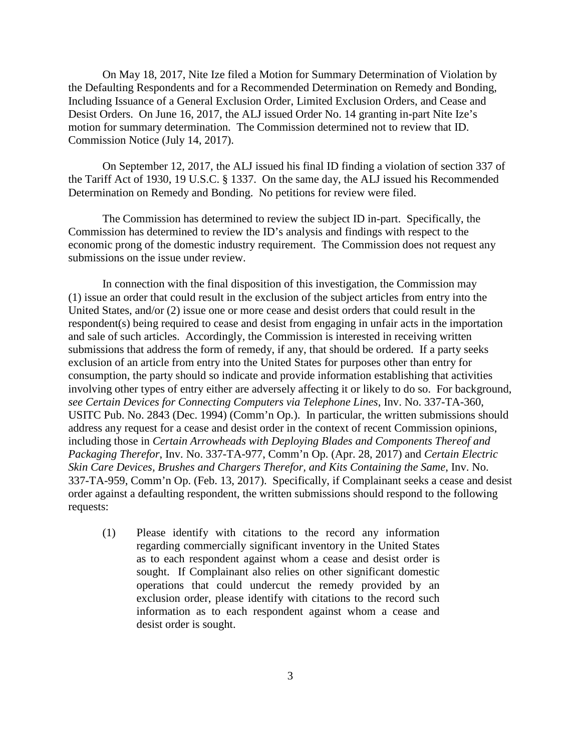On May 18, 2017, Nite Ize filed a Motion for Summary Determination of Violation by the Defaulting Respondents and for a Recommended Determination on Remedy and Bonding, Including Issuance of a General Exclusion Order, Limited Exclusion Orders, and Cease and Desist Orders. On June 16, 2017, the ALJ issued Order No. 14 granting in-part Nite Ize's motion for summary determination. The Commission determined not to review that ID. Commission Notice (July 14, 2017).

On September 12, 2017, the ALJ issued his final ID finding a violation of section 337 of the Tariff Act of 1930, 19 U.S.C. § 1337. On the same day, the ALJ issued his Recommended Determination on Remedy and Bonding. No petitions for review were filed.

The Commission has determined to review the subject ID in-part. Specifically, the Commission has determined to review the ID's analysis and findings with respect to the economic prong of the domestic industry requirement. The Commission does not request any submissions on the issue under review.

In connection with the final disposition of this investigation, the Commission may (1) issue an order that could result in the exclusion of the subject articles from entry into the United States, and/or (2) issue one or more cease and desist orders that could result in the respondent(s) being required to cease and desist from engaging in unfair acts in the importation and sale of such articles. Accordingly, the Commission is interested in receiving written submissions that address the form of remedy, if any, that should be ordered. If a party seeks exclusion of an article from entry into the United States for purposes other than entry for consumption, the party should so indicate and provide information establishing that activities involving other types of entry either are adversely affecting it or likely to do so. For background, *see Certain Devices for Connecting Computers via Telephone Lines*, Inv. No. 337-TA-360, USITC Pub. No. 2843 (Dec. 1994) (Comm'n Op.). In particular, the written submissions should address any request for a cease and desist order in the context of recent Commission opinions, including those in *Certain Arrowheads with Deploying Blades and Components Thereof and Packaging Therefor*, Inv. No. 337-TA-977, Comm'n Op. (Apr. 28, 2017) and *Certain Electric Skin Care Devices, Brushes and Chargers Therefor, and Kits Containing the Same*, Inv. No. 337-TA-959, Comm'n Op. (Feb. 13, 2017). Specifically, if Complainant seeks a cease and desist order against a defaulting respondent, the written submissions should respond to the following requests:

(1) Please identify with citations to the record any information regarding commercially significant inventory in the United States as to each respondent against whom a cease and desist order is sought. If Complainant also relies on other significant domestic operations that could undercut the remedy provided by an exclusion order, please identify with citations to the record such information as to each respondent against whom a cease and desist order is sought.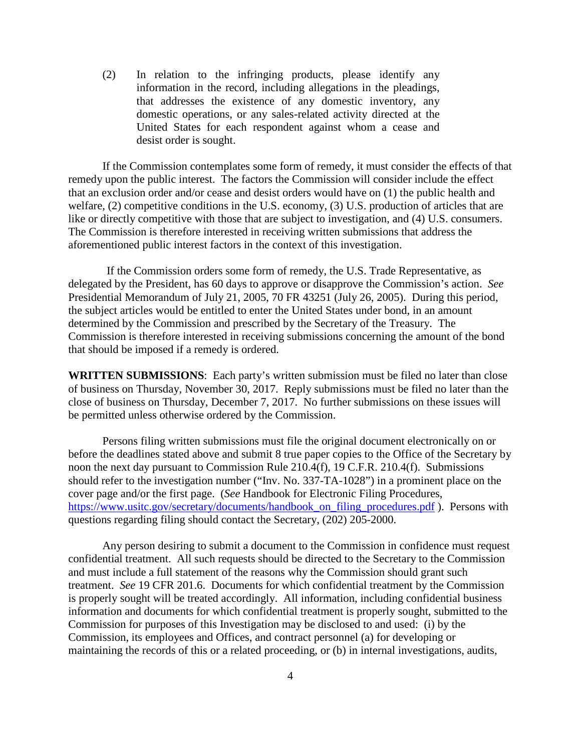(2) In relation to the infringing products, please identify any information in the record, including allegations in the pleadings, that addresses the existence of any domestic inventory, any domestic operations, or any sales-related activity directed at the United States for each respondent against whom a cease and desist order is sought.

If the Commission contemplates some form of remedy, it must consider the effects of that remedy upon the public interest. The factors the Commission will consider include the effect that an exclusion order and/or cease and desist orders would have on (1) the public health and welfare, (2) competitive conditions in the U.S. economy, (3) U.S. production of articles that are like or directly competitive with those that are subject to investigation, and (4) U.S. consumers. The Commission is therefore interested in receiving written submissions that address the aforementioned public interest factors in the context of this investigation.

If the Commission orders some form of remedy, the U.S. Trade Representative, as delegated by the President, has 60 days to approve or disapprove the Commission's action. *See*  Presidential Memorandum of July 21, 2005, 70 FR 43251 (July 26, 2005). During this period, the subject articles would be entitled to enter the United States under bond, in an amount determined by the Commission and prescribed by the Secretary of the Treasury. The Commission is therefore interested in receiving submissions concerning the amount of the bond that should be imposed if a remedy is ordered.

**WRITTEN SUBMISSIONS**: Each party's written submission must be filed no later than close of business on Thursday, November 30, 2017. Reply submissions must be filed no later than the close of business on Thursday, December 7, 2017. No further submissions on these issues will be permitted unless otherwise ordered by the Commission.

Persons filing written submissions must file the original document electronically on or before the deadlines stated above and submit 8 true paper copies to the Office of the Secretary by noon the next day pursuant to Commission Rule 210.4(f), 19 C.F.R. 210.4(f). Submissions should refer to the investigation number ("Inv. No. 337-TA-1028") in a prominent place on the cover page and/or the first page. (*See* Handbook for Electronic Filing Procedures, [https://www.usitc.gov/secretary/documents/handbook\\_on\\_filing\\_procedures.pdf](https://www.usitc.gov/secretary/documents/handbook_on_filing_procedures.pdf) ). Persons with questions regarding filing should contact the Secretary, (202) 205-2000.

Any person desiring to submit a document to the Commission in confidence must request confidential treatment. All such requests should be directed to the Secretary to the Commission and must include a full statement of the reasons why the Commission should grant such treatment. *See* 19 CFR 201.6. Documents for which confidential treatment by the Commission is properly sought will be treated accordingly. All information, including confidential business information and documents for which confidential treatment is properly sought, submitted to the Commission for purposes of this Investigation may be disclosed to and used: (i) by the Commission, its employees and Offices, and contract personnel (a) for developing or maintaining the records of this or a related proceeding, or (b) in internal investigations, audits,